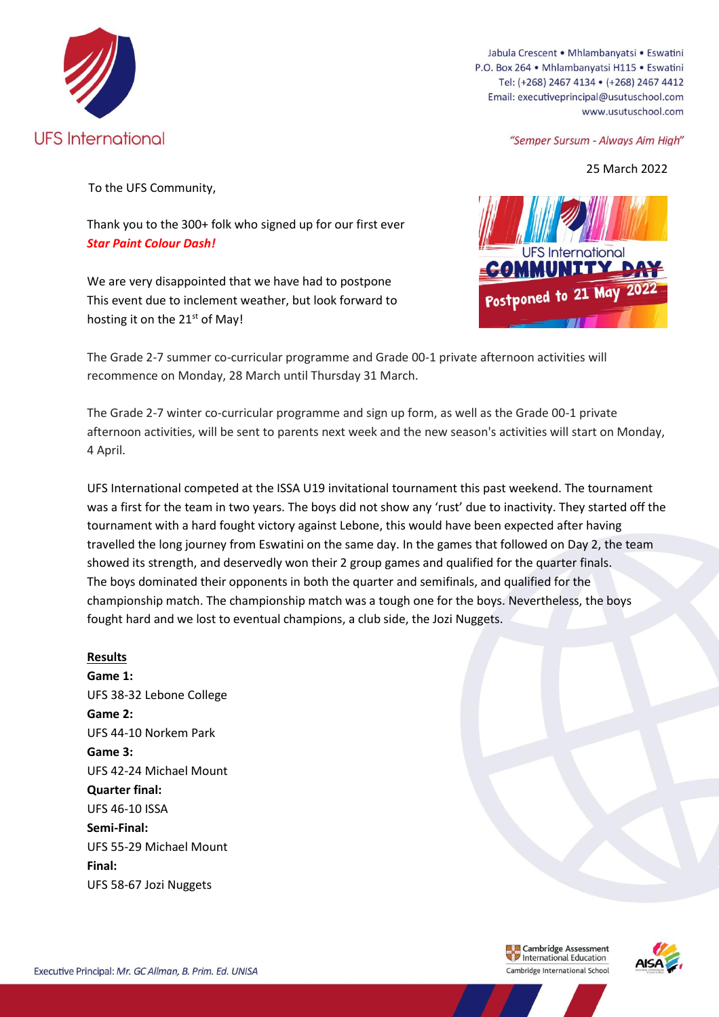

Jabula Crescent . Mhlambanyatsi . Eswatini P.O. Box 264 · Mhlambanyatsi H115 · Eswatini Tel: (+268) 2467 4134 · (+268) 2467 4412 Email: executiveprincipal@usutuschool.com www.usutuschool.com

"Semper Sursum - Always Aim High"

25 March 2022

To the UFS Community,

Thank you to the 300+ folk who signed up for our first ever *Star Paint Colour Dash!*

We are very disappointed that we have had to postpone This event due to inclement weather, but look forward to hosting it on the  $21<sup>st</sup>$  of May!



The Grade 2-7 summer co-curricular programme and Grade 00-1 private afternoon activities will recommence on Monday, 28 March until Thursday 31 March.

The Grade 2-7 winter co-curricular programme and sign up form, as well as the Grade 00-1 private afternoon activities, will be sent to parents next week and the new season's activities will start on Monday, 4 April.

UFS International competed at the ISSA U19 invitational tournament this past weekend. The tournament was a first for the team in two years. The boys did not show any 'rust' due to inactivity. They started off the tournament with a hard fought victory against Lebone, this would have been expected after having travelled the long journey from Eswatini on the same day. In the games that followed on Day 2, the team showed its strength, and deservedly won their 2 group games and qualified for the quarter finals. The boys dominated their opponents in both the quarter and semifinals, and qualified for the championship match. The championship match was a tough one for the boys. Nevertheless, the boys fought hard and we lost to eventual champions, a club side, the Jozi Nuggets.

## **Results**

**Game 1:** UFS 38-32 Lebone College **Game 2:** UFS 44-10 Norkem Park **Game 3:** UFS 42-24 Michael Mount **Quarter final:** UFS 46-10 ISSA **Semi-Final:** UFS 55-29 Michael Mount **Final:** UFS 58-67 Jozi Nuggets